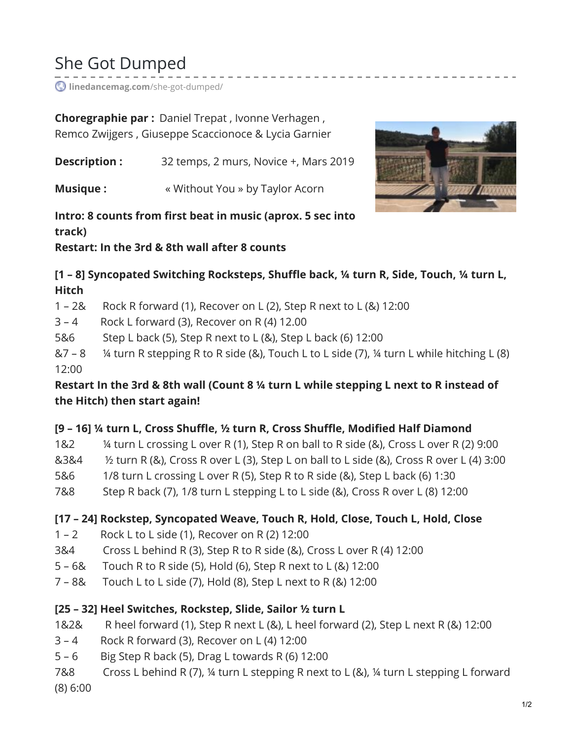# She Got Dumped

**[linedancemag.com](https://www.linedancemag.com/she-got-dumped/)**/she-got-dumped/

**Choregraphie par :** Daniel Trepat , Ivonne Verhagen , Remco Zwijgers , Giuseppe Scaccionoce & Lycia Garnier

**Description :** 32 temps, 2 murs, Novice +, Mars 2019

**Musique :**  $\bullet$  **Without You » by Taylor Acorn** 



### **Intro: 8 counts from first beat in music (aprox. 5 sec into track)**

**Restart: In the 3rd & 8th wall after 8 counts**

**[1 – 8] Syncopated Switching Rocksteps, Shuffle back, ¼ turn R, Side, Touch, ¼ turn L, Hitch**

1 – 2& Rock R forward (1), Recover on L (2), Step R next to L (&) 12:00

3 – 4 Rock L forward (3), Recover on R (4) 12.00

5&6 Step L back (5), Step R next to L (&), Step L back (6) 12:00

 $&7 - 8$  % turn R stepping R to R side (&), Touch L to L side (7), % turn L while hitching L (8) 12:00

Restart In the 3rd & 8th wall (Count 8 1/4 turn L while stepping L next to R instead of **the Hitch) then start again!**

### **[9 – 16] ¼ turn L, Cross Shuffle, ½ turn R, Cross Shuffle, Modified Half Diamond**

- 1&2 ¼ turn L crossing L over R (1), Step R on ball to R side (&), Cross L over R (2) 9:00
- $&384$  % turn R (&), Cross R over L (3), Step L on ball to L side (&), Cross R over L (4) 3:00
- 5&6 1/8 turn L crossing L over R (5), Step R to R side (&), Step L back (6) 1:30
- 7&8 Step R back (7), 1/8 turn L stepping L to L side (&), Cross R over L (8) 12:00

### **[17 – 24] Rockstep, Syncopated Weave, Touch R, Hold, Close, Touch L, Hold, Close**

- 1 2 Rock L to L side (1), Recover on R (2) 12:00
- 3&4 Cross L behind R (3), Step R to R side (&), Cross L over R (4) 12:00
- 5 6& Touch R to R side (5), Hold (6), Step R next to L (&) 12:00
- 7 8& Touch L to L side (7), Hold (8), Step L next to R (&) 12:00

### **[25 – 32] Heel Switches, Rockstep, Slide, Sailor ½ turn L**

- 1&2& R heel forward (1), Step R next L (&), L heel forward (2), Step L next R (&) 12:00
- 3 4 Rock R forward (3), Recover on L (4) 12:00
- 5 6 Big Step R back (5), Drag L towards R (6) 12:00
- 7&8 Cross L behind R (7), ¼ turn L stepping R next to L (&), ¼ turn L stepping L forward

(8) 6:00